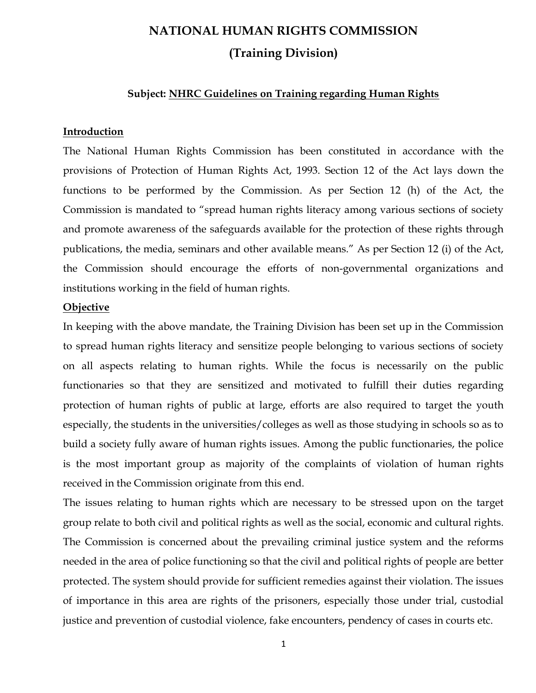# NATIONAL HUMAN RIGHTS COMMISSION (Training Division)

### Subject: NHRC Guidelines on Training regarding Human Rights

### Introduction

The National Human Rights Commission has been constituted in accordance with the provisions of Protection of Human Rights Act, 1993. Section 12 of the Act lays down the functions to be performed by the Commission. As per Section 12 (h) of the Act, the Commission is mandated to "spread human rights literacy among various sections of society and promote awareness of the safeguards available for the protection of these rights through publications, the media, seminars and other available means." As per Section 12 (i) of the Act, the Commission should encourage the efforts of non-governmental organizations and institutions working in the field of human rights.

### **Objective**

In keeping with the above mandate, the Training Division has been set up in the Commission to spread human rights literacy and sensitize people belonging to various sections of society on all aspects relating to human rights. While the focus is necessarily on the public functionaries so that they are sensitized and motivated to fulfill their duties regarding protection of human rights of public at large, efforts are also required to target the youth especially, the students in the universities/colleges as well as those studying in schools so as to build a society fully aware of human rights issues. Among the public functionaries, the police is the most important group as majority of the complaints of violation of human rights received in the Commission originate from this end.

The issues relating to human rights which are necessary to be stressed upon on the target group relate to both civil and political rights as well as the social, economic and cultural rights. The Commission is concerned about the prevailing criminal justice system and the reforms needed in the area of police functioning so that the civil and political rights of people are better protected. The system should provide for sufficient remedies against their violation. The issues of importance in this area are rights of the prisoners, especially those under trial, custodial justice and prevention of custodial violence, fake encounters, pendency of cases in courts etc.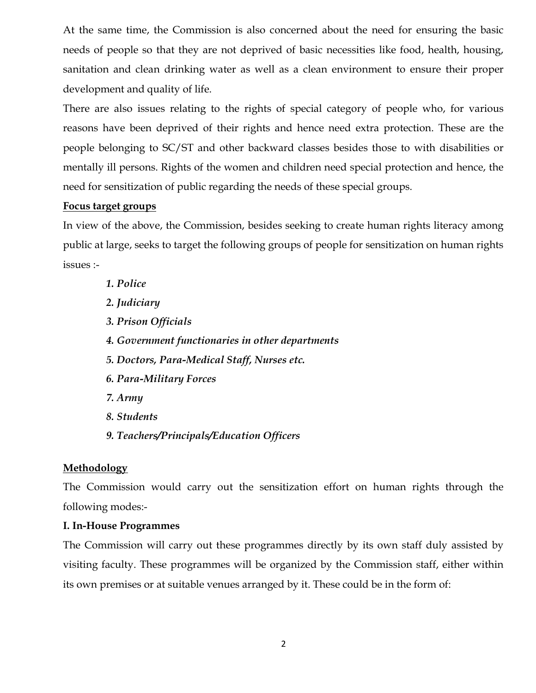At the same time, the Commission is also concerned about the need for ensuring the basic needs of people so that they are not deprived of basic necessities like food, health, housing, sanitation and clean drinking water as well as a clean environment to ensure their proper development and quality of life.

There are also issues relating to the rights of special category of people who, for various reasons have been deprived of their rights and hence need extra protection. These are the people belonging to SC/ST and other backward classes besides those to with disabilities or mentally ill persons. Rights of the women and children need special protection and hence, the need for sensitization of public regarding the needs of these special groups.

### Focus target groups

In view of the above, the Commission, besides seeking to create human rights literacy among public at large, seeks to target the following groups of people for sensitization on human rights issues :-

1. Police 2. Judiciary 3. Prison Officials 4. Government functionaries in other departments 5. Doctors, Para-Medical Staff, Nurses etc. 6. Para-Military Forces 7. Army 8. Students 9. Teachers/Principals/Education Officers

### Methodology

The Commission would carry out the sensitization effort on human rights through the following modes:-

### I. In-House Programmes

The Commission will carry out these programmes directly by its own staff duly assisted by visiting faculty. These programmes will be organized by the Commission staff, either within its own premises or at suitable venues arranged by it. These could be in the form of: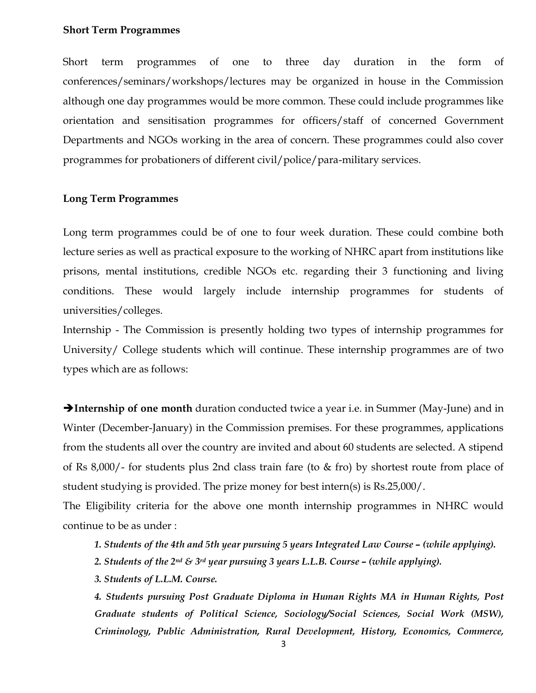#### Short Term Programmes

Short term programmes of one to three day duration in the form of conferences/seminars/workshops/lectures may be organized in house in the Commission although one day programmes would be more common. These could include programmes like orientation and sensitisation programmes for officers/staff of concerned Government Departments and NGOs working in the area of concern. These programmes could also cover programmes for probationers of different civil/police/para-military services.

### Long Term Programmes

Long term programmes could be of one to four week duration. These could combine both lecture series as well as practical exposure to the working of NHRC apart from institutions like prisons, mental institutions, credible NGOs etc. regarding their 3 functioning and living conditions. These would largely include internship programmes for students of universities/colleges.

Internship - The Commission is presently holding two types of internship programmes for University/ College students which will continue. These internship programmes are of two types which are as follows:

**Internship of one month** duration conducted twice a year i.e. in Summer (May-June) and in Winter (December-January) in the Commission premises. For these programmes, applications from the students all over the country are invited and about 60 students are selected. A stipend of Rs 8,000/- for students plus 2nd class train fare (to & fro) by shortest route from place of student studying is provided. The prize money for best intern(s) is Rs.25,000/.

The Eligibility criteria for the above one month internship programmes in NHRC would continue to be as under :

1. Students of the 4th and 5th year pursuing 5 years Integrated Law Course – (while applying).

- 2. Students of the  $2^{nd}$  &  $3^{rd}$  year pursuing 3 years L.L.B. Course (while applying).
- 3. Students of L.L.M. Course.

4. Students pursuing Post Graduate Diploma in Human Rights MA in Human Rights, Post Graduate students of Political Science, Sociology/Social Sciences, Social Work (MSW), Criminology, Public Administration, Rural Development, History, Economics, Commerce,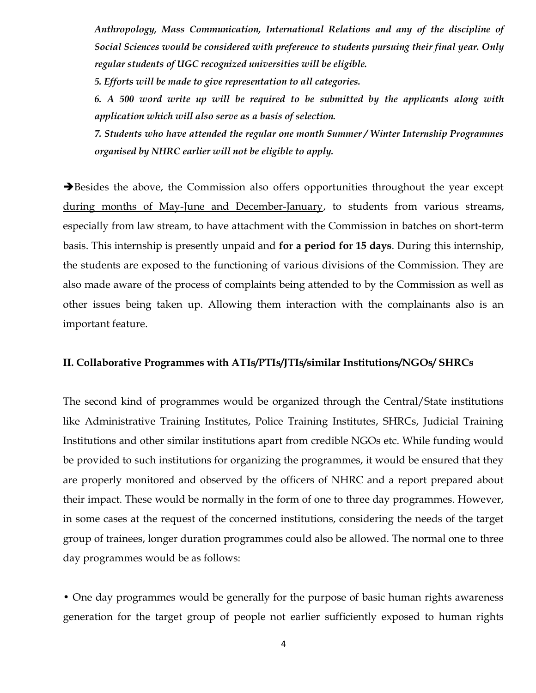Anthropology, Mass Communication, International Relations and any of the discipline of Social Sciences would be considered with preference to students pursuing their final year. Only regular students of UGC recognized universities will be eligible.

5. Efforts will be made to give representation to all categories.

6. A 500 word write up will be required to be submitted by the applicants along with application which will also serve as a basis of selection.

7. Students who have attended the regular one month Summer / Winter Internship Programmes organised by NHRC earlier will not be eligible to apply.

Besides the above, the Commission also offers opportunities throughout the year except during months of May-June and December-January, to students from various streams, especially from law stream, to have attachment with the Commission in batches on short-term basis. This internship is presently unpaid and for a period for 15 days. During this internship, the students are exposed to the functioning of various divisions of the Commission. They are also made aware of the process of complaints being attended to by the Commission as well as other issues being taken up. Allowing them interaction with the complainants also is an important feature.

### II. Collaborative Programmes with ATIs/PTIs/JTIs/similar Institutions/NGOs/ SHRCs

The second kind of programmes would be organized through the Central/State institutions like Administrative Training Institutes, Police Training Institutes, SHRCs, Judicial Training Institutions and other similar institutions apart from credible NGOs etc. While funding would be provided to such institutions for organizing the programmes, it would be ensured that they are properly monitored and observed by the officers of NHRC and a report prepared about their impact. These would be normally in the form of one to three day programmes. However, in some cases at the request of the concerned institutions, considering the needs of the target group of trainees, longer duration programmes could also be allowed. The normal one to three day programmes would be as follows:

• One day programmes would be generally for the purpose of basic human rights awareness generation for the target group of people not earlier sufficiently exposed to human rights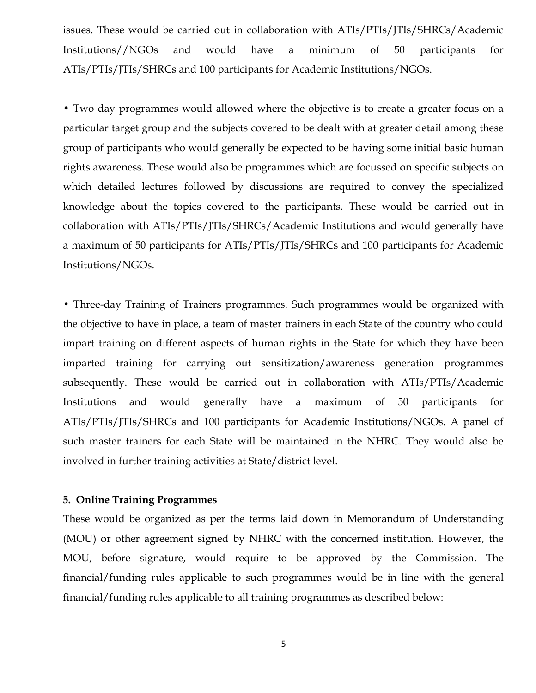issues. These would be carried out in collaboration with ATIs/PTIs/JTIs/SHRCs/Academic Institutions//NGOs and would have a minimum of 50 participants for ATIs/PTIs/JTIs/SHRCs and 100 participants for Academic Institutions/NGOs.

• Two day programmes would allowed where the objective is to create a greater focus on a particular target group and the subjects covered to be dealt with at greater detail among these group of participants who would generally be expected to be having some initial basic human rights awareness. These would also be programmes which are focussed on specific subjects on which detailed lectures followed by discussions are required to convey the specialized knowledge about the topics covered to the participants. These would be carried out in collaboration with ATIs/PTIs/JTIs/SHRCs/Academic Institutions and would generally have a maximum of 50 participants for ATIs/PTIs/JTIs/SHRCs and 100 participants for Academic Institutions/NGOs.

• Three-day Training of Trainers programmes. Such programmes would be organized with the objective to have in place, a team of master trainers in each State of the country who could impart training on different aspects of human rights in the State for which they have been imparted training for carrying out sensitization/awareness generation programmes subsequently. These would be carried out in collaboration with ATIs/PTIs/Academic Institutions and would generally have a maximum of 50 participants for ATIs/PTIs/JTIs/SHRCs and 100 participants for Academic Institutions/NGOs. A panel of such master trainers for each State will be maintained in the NHRC. They would also be involved in further training activities at State/district level.

### 5. Online Training Programmes

These would be organized as per the terms laid down in Memorandum of Understanding (MOU) or other agreement signed by NHRC with the concerned institution. However, the MOU, before signature, would require to be approved by the Commission. The financial/funding rules applicable to such programmes would be in line with the general financial/funding rules applicable to all training programmes as described below:

5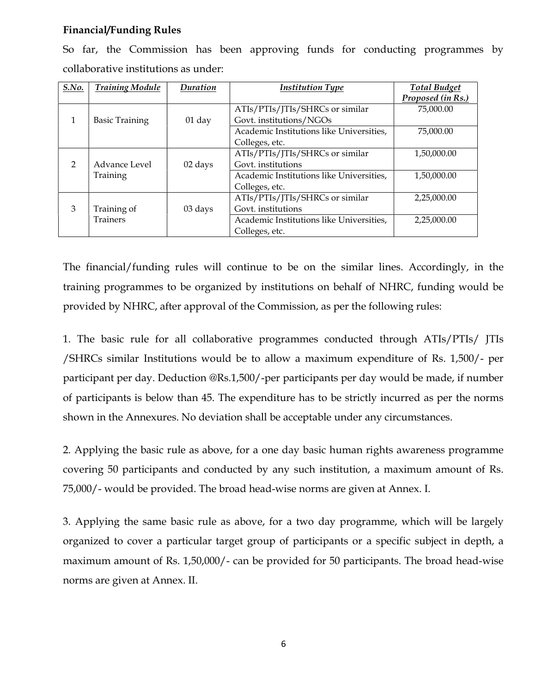### Financial/Funding Rules

| S.No.         | <b>Training Module</b> | Duration | <b>Institution Type</b>                  | <b>Total Budget</b> |
|---------------|------------------------|----------|------------------------------------------|---------------------|
|               |                        |          |                                          | Proposed (in Rs.)   |
|               |                        |          | ATIs/PTIs/JTIs/SHRCs or similar          | 75,000.00           |
| 1             | <b>Basic Training</b>  | $01$ day | Govt. institutions/NGOs                  |                     |
|               |                        |          | Academic Institutions like Universities, | 75,000.00           |
|               |                        |          | Colleges, etc.                           |                     |
|               |                        |          | ATIs/PTIs/JTIs/SHRCs or similar          | 1,50,000.00         |
| $\mathcal{P}$ | Advance Level          | 02 days  | Govt. institutions                       |                     |
|               | Training               |          | Academic Institutions like Universities, | 1,50,000.00         |
|               |                        |          | Colleges, etc.                           |                     |
|               |                        |          | ATIs/PTIs/JTIs/SHRCs or similar          | 2,25,000.00         |
| 3             | Training of            | 03 days  | Govt. institutions                       |                     |
|               | <b>Trainers</b>        |          | Academic Institutions like Universities, | 2,25,000.00         |
|               |                        |          | Colleges, etc.                           |                     |

So far, the Commission has been approving funds for conducting programmes by collaborative institutions as under:

The financial/funding rules will continue to be on the similar lines. Accordingly, in the training programmes to be organized by institutions on behalf of NHRC, funding would be provided by NHRC, after approval of the Commission, as per the following rules:

1. The basic rule for all collaborative programmes conducted through ATIs/PTIs/ JTIs /SHRCs similar Institutions would be to allow a maximum expenditure of Rs. 1,500/- per participant per day. Deduction @Rs.1,500/-per participants per day would be made, if number of participants is below than 45. The expenditure has to be strictly incurred as per the norms shown in the Annexures. No deviation shall be acceptable under any circumstances.

2. Applying the basic rule as above, for a one day basic human rights awareness programme covering 50 participants and conducted by any such institution, a maximum amount of Rs. 75,000/- would be provided. The broad head-wise norms are given at Annex. I.

3. Applying the same basic rule as above, for a two day programme, which will be largely organized to cover a particular target group of participants or a specific subject in depth, a maximum amount of Rs. 1,50,000/- can be provided for 50 participants. The broad head-wise norms are given at Annex. II.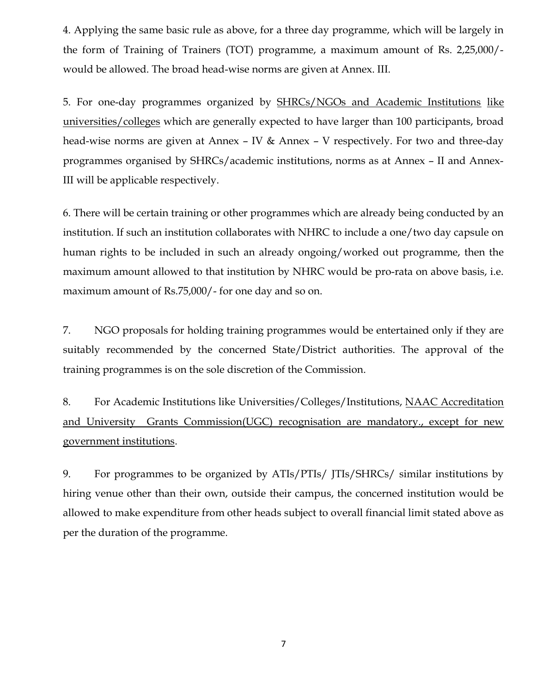4. Applying the same basic rule as above, for a three day programme, which will be largely in the form of Training of Trainers (TOT) programme, a maximum amount of Rs. 2,25,000/ would be allowed. The broad head-wise norms are given at Annex. III.

5. For one-day programmes organized by SHRCs/NGOs and Academic Institutions like universities/colleges which are generally expected to have larger than 100 participants, broad head-wise norms are given at Annex – IV & Annex – V respectively. For two and three-day programmes organised by SHRCs/academic institutions, norms as at Annex – II and Annex-III will be applicable respectively.

6. There will be certain training or other programmes which are already being conducted by an institution. If such an institution collaborates with NHRC to include a one/two day capsule on human rights to be included in such an already ongoing/worked out programme, then the maximum amount allowed to that institution by NHRC would be pro-rata on above basis, i.e. maximum amount of Rs.75,000/- for one day and so on.

7. NGO proposals for holding training programmes would be entertained only if they are suitably recommended by the concerned State/District authorities. The approval of the training programmes is on the sole discretion of the Commission.

8. For Academic Institutions like Universities/Colleges/Institutions, NAAC Accreditation and University Grants Commission(UGC) recognisation are mandatory., except for new government institutions.

9. For programmes to be organized by ATIs/PTIs/ JTIs/SHRCs/ similar institutions by hiring venue other than their own, outside their campus, the concerned institution would be allowed to make expenditure from other heads subject to overall financial limit stated above as per the duration of the programme.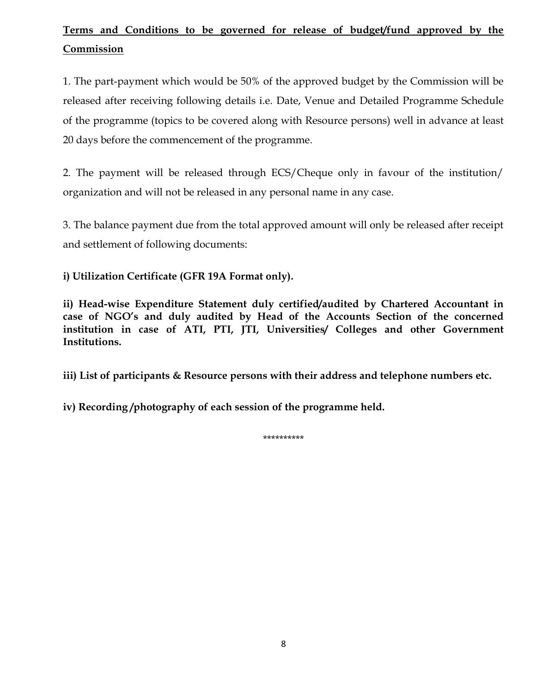## Terms and Conditions to be governed for release of budget/fund approved by the Commission

1. The part-payment which would be 50% of the approved budget by the Commission will be released after receiving following details i.e. Date, Venue and Detailed Programme Schedule of the programme (topics to be covered along with Resource persons) well in advance at least 20 days before the commencement of the programme.

2. The payment will be released through ECS/Cheque only in favour of the institution/ organization and will not be released in any personal name in any case.

3. The balance payment due from the total approved amount will only be released after receipt and settlement of following documents:

i) Utilization Certificate (GFR 19A Format only).

ii) Head-wise Expenditure Statement duly certified/audited by Chartered Accountant in case of NGO's and duly audited by Head of the Accounts Section of the concerned institution in case of ATI, PTI, JTI, Universities/ Colleges and other Government Institutions.

iii) List of participants & Resource persons with their address and telephone numbers etc.

iv) Recording /photography of each session of the programme held.

\*\*\*\*\*\*\*\*\*\*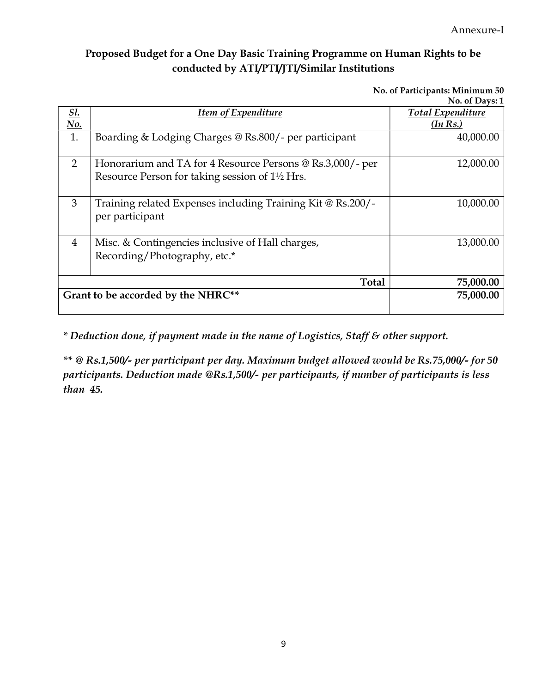## Proposed Budget for a One Day Basic Training Programme on Human Rights to be conducted by ATI/PTI/JTI/Similar Institutions

No. of Participants: Minimum 50

|                             |                                                                          | No. of Days: 1           |
|-----------------------------|--------------------------------------------------------------------------|--------------------------|
| <u>Sl.</u>                  | <b>Item of Expenditure</b>                                               | <b>Total Expenditure</b> |
| $\underline{\mathrm{No}}$ . |                                                                          | (In Rs.)                 |
| 1.                          | Boarding & Lodging Charges @ Rs.800/- per participant                    | 40,000.00                |
|                             |                                                                          |                          |
| 2                           | Honorarium and TA for 4 Resource Persons @ Rs.3,000/- per                | 12,000.00                |
|                             | Resource Person for taking session of 1 <sup>1</sup> / <sub>2</sub> Hrs. |                          |
|                             |                                                                          |                          |
| 3                           | Training related Expenses including Training Kit @ Rs.200/-              | 10,000.00                |
|                             | per participant                                                          |                          |
|                             |                                                                          |                          |
| $\overline{4}$              | Misc. & Contingencies inclusive of Hall charges,                         | 13,000.00                |
|                             | Recording/Photography, etc.*                                             |                          |
|                             |                                                                          |                          |
|                             | Total                                                                    | 75,000.00                |
|                             | Grant to be accorded by the NHRC**                                       | 75,000.00                |
|                             |                                                                          |                          |

\* Deduction done, if payment made in the name of Logistics, Staff & other support.

\*\* @ Rs.1,500/- per participant per day. Maximum budget allowed would be Rs.75,000/- for 50 participants. Deduction made @Rs.1,500/- per participants, if number of participants is less than 45.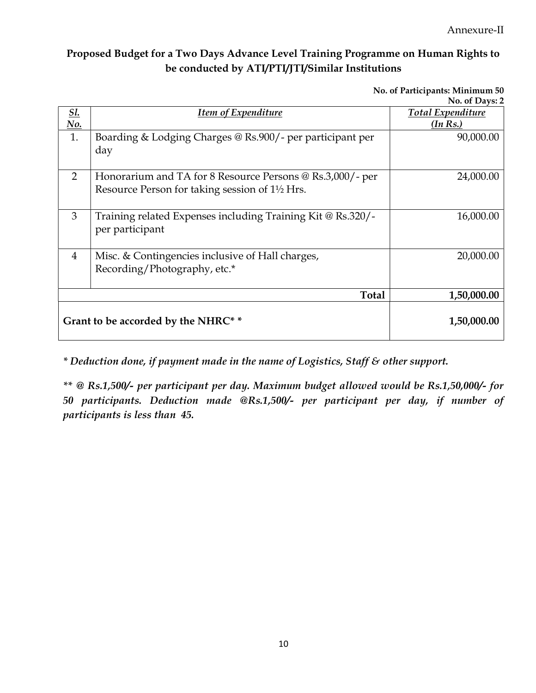Annexure-II

## Proposed Budget for a Two Days Advance Level Training Programme on Human Rights to be conducted by ATI/PTI/JTI/Similar Institutions

No. of Participants: Minimum 50

|                                     |                                                             | No. of Days: 2           |
|-------------------------------------|-------------------------------------------------------------|--------------------------|
| <u>Sl.</u>                          | <b>Item of Expenditure</b>                                  | <b>Total Expenditure</b> |
| $\underline{No.}$                   |                                                             | (In Rs.)                 |
| 1.                                  | Boarding & Lodging Charges @ Rs.900/- per participant per   | 90,000.00                |
|                                     | day                                                         |                          |
|                                     |                                                             |                          |
| 2                                   | Honorarium and TA for 8 Resource Persons @ Rs.3,000/- per   | 24,000.00                |
|                                     | Resource Person for taking session of 1½ Hrs.               |                          |
|                                     |                                                             |                          |
| 3                                   | Training related Expenses including Training Kit @ Rs.320/- | 16,000.00                |
|                                     | per participant                                             |                          |
|                                     |                                                             |                          |
| $\overline{4}$                      | Misc. & Contingencies inclusive of Hall charges,            | 20,000.00                |
|                                     | Recording/Photography, etc.*                                |                          |
|                                     |                                                             |                          |
|                                     | <b>Total</b>                                                | 1,50,000.00              |
|                                     |                                                             |                          |
| Grant to be accorded by the NHRC* * |                                                             | 1,50,000.00              |
|                                     |                                                             |                          |

\* Deduction done, if payment made in the name of Logistics, Staff & other support.

\*\* @ Rs.1,500/- per participant per day. Maximum budget allowed would be Rs.1,50,000/- for 50 participants. Deduction made @Rs.1,500/- per participant per day, if number of participants is less than 45.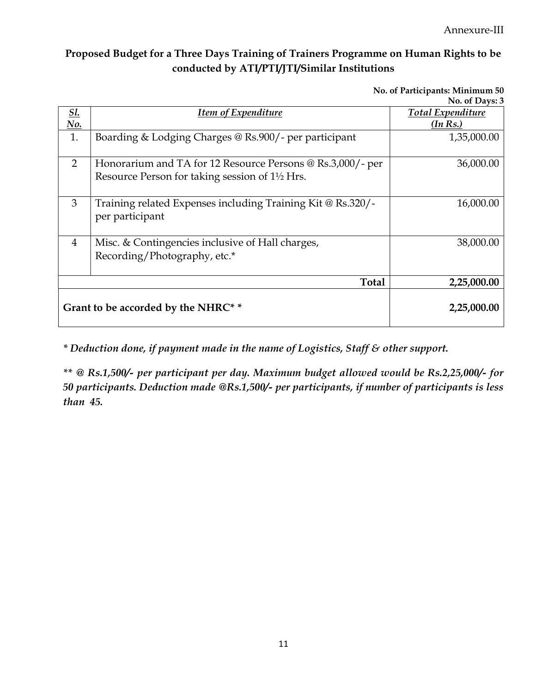Annexure-III

## Proposed Budget for a Three Days Training of Trainers Programme on Human Rights to be conducted by ATI/PTI/JTI/Similar Institutions

No. of Participants: Minimum 50

|            |                                                                                                                                        | No. of Days: 3           |
|------------|----------------------------------------------------------------------------------------------------------------------------------------|--------------------------|
| <u>Sl.</u> | <b>Item of Expenditure</b>                                                                                                             | <b>Total Expenditure</b> |
| <u>No.</u> |                                                                                                                                        | (In Rs.)                 |
| 1.         | Boarding & Lodging Charges @ Rs.900/- per participant                                                                                  | 1,35,000.00              |
| 2          | Honorarium and TA for 12 Resource Persons @ Rs.3,000/- per<br>Resource Person for taking session of 1 <sup>1</sup> / <sub>2</sub> Hrs. | 36,000.00                |
| 3          | Training related Expenses including Training Kit @ Rs.320/-<br>per participant                                                         | 16,000.00                |
| 4          | Misc. & Contingencies inclusive of Hall charges,<br>Recording/Photography, etc.*                                                       | 38,000.00                |
|            | <b>Total</b>                                                                                                                           | 2,25,000.00              |
|            | Grant to be accorded by the NHRC* *                                                                                                    | 2,25,000.00              |

\* Deduction done, if payment made in the name of Logistics, Staff & other support.

\*\* @ Rs.1,500/- per participant per day. Maximum budget allowed would be Rs.2,25,000/- for 50 participants. Deduction made @Rs.1,500/- per participants, if number of participants is less than 45.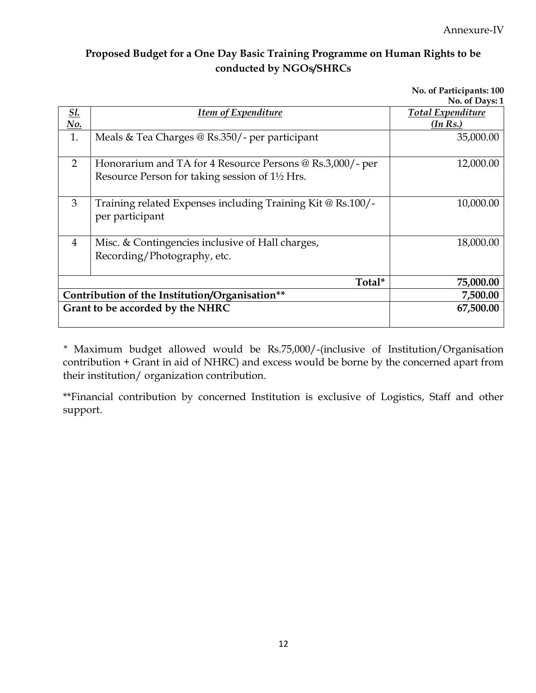### Proposed Budget for a One Day Basic Training Programme on Human Rights to be conducted by NGOs/SHRCs

No. of Participants: 100

|                                                |                                                             | No. of Days: 1           |
|------------------------------------------------|-------------------------------------------------------------|--------------------------|
| <u>Sl.</u>                                     | <u><b>Item of Expenditure</b></u>                           | <b>Total Expenditure</b> |
| <u>No.</u>                                     |                                                             | (In Rs.)                 |
| 1.                                             | Meals & Tea Charges $\omega$ Rs.350/- per participant       | 35,000.00                |
|                                                |                                                             |                          |
| $\overline{2}$                                 | Honorarium and TA for 4 Resource Persons @ Rs.3,000/- per   | 12,000.00                |
|                                                | Resource Person for taking session of 1½ Hrs.               |                          |
|                                                |                                                             |                          |
| 3                                              | Training related Expenses including Training Kit @ Rs.100/- | 10,000.00                |
|                                                | per participant                                             |                          |
|                                                |                                                             |                          |
| 4                                              | Misc. & Contingencies inclusive of Hall charges,            | 18,000.00                |
|                                                | Recording/Photography, etc.                                 |                          |
|                                                |                                                             |                          |
|                                                | Total*                                                      | 75,000.00                |
| Contribution of the Institution/Organisation** |                                                             | 7,500.00                 |
| Grant to be accorded by the NHRC               |                                                             | 67,500.00                |
|                                                |                                                             |                          |

\* Maximum budget allowed would be Rs.75,000/-(inclusive of Institution/Organisation contribution + Grant in aid of NHRC) and excess would be borne by the concerned apart from their institution/ organization contribution.

\*\*Financial contribution by concerned Institution is exclusive of Logistics, Staff and other support.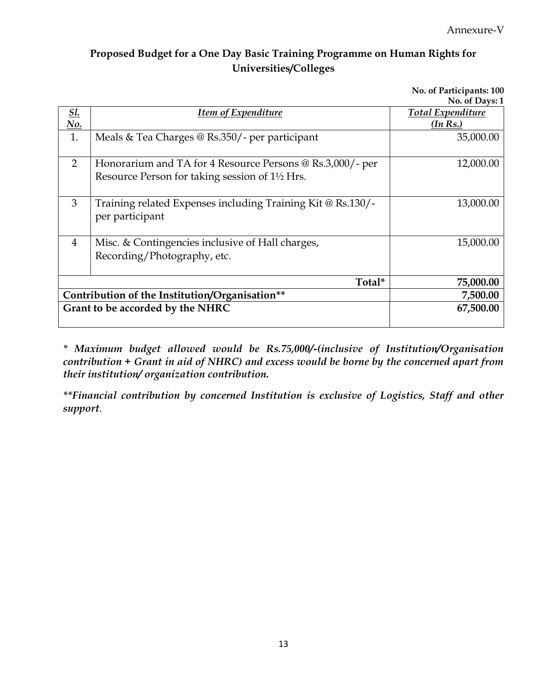No. of Participants: 100

## Proposed Budget for a One Day Basic Training Programme on Human Rights for Universities/Colleges

|                                                |                                                                                                            | No. of Days: 1           |
|------------------------------------------------|------------------------------------------------------------------------------------------------------------|--------------------------|
| <u>Sl.</u>                                     | <b>Item of Expenditure</b>                                                                                 | <b>Total Expenditure</b> |
| $\underline{No.}$                              |                                                                                                            | (In Rs.)                 |
| 1.                                             | Meals & Tea Charges @ Rs.350/- per participant                                                             | 35,000.00                |
| 2                                              | Honorarium and TA for 4 Resource Persons @ Rs.3,000/- per<br>Resource Person for taking session of 1½ Hrs. | 12,000.00                |
| 3                                              | Training related Expenses including Training Kit @ Rs.130/-<br>per participant                             | 13,000.00                |
| 4                                              | Misc. & Contingencies inclusive of Hall charges,<br>Recording/Photography, etc.                            | 15,000.00                |
|                                                | Total*                                                                                                     | 75,000.00                |
| Contribution of the Institution/Organisation** |                                                                                                            | 7,500.00                 |
|                                                | Grant to be accorded by the NHRC                                                                           | 67,500.00                |

\* Maximum budget allowed would be Rs.75,000/-(inclusive of Institution/Organisation contribution + Grant in aid of NHRC) and excess would be borne by the concerned apart from their institution/ organization contribution.

\*\*Financial contribution by concerned Institution is exclusive of Logistics, Staff and other support.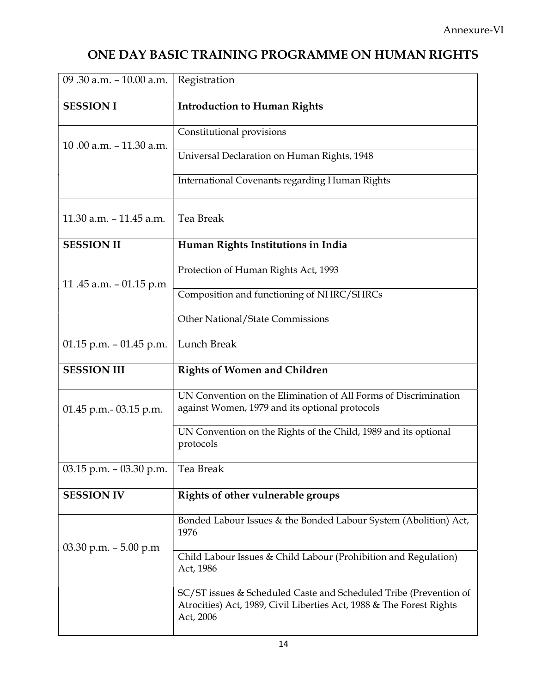# ONE DAY BASIC TRAINING PROGRAMME ON HUMAN RIGHTS

| 09.30 a.m. - 10.00 a.m.    | Registration                                                                                                                                           |
|----------------------------|--------------------------------------------------------------------------------------------------------------------------------------------------------|
| <b>SESSION I</b>           | <b>Introduction to Human Rights</b>                                                                                                                    |
| 10.00 a.m. $-11.30$ a.m.   | Constitutional provisions                                                                                                                              |
|                            | Universal Declaration on Human Rights, 1948                                                                                                            |
|                            | International Covenants regarding Human Rights                                                                                                         |
| $11.30$ a.m. $-11.45$ a.m. | Tea Break                                                                                                                                              |
| <b>SESSION II</b>          | Human Rights Institutions in India                                                                                                                     |
| 11.45 a.m. - 01.15 p.m     | Protection of Human Rights Act, 1993                                                                                                                   |
|                            | Composition and functioning of NHRC/SHRCs                                                                                                              |
|                            | Other National/State Commissions                                                                                                                       |
| $01.15$ p.m. $-01.45$ p.m. | Lunch Break                                                                                                                                            |
| <b>SESSION III</b>         | <b>Rights of Women and Children</b>                                                                                                                    |
| $01.45$ p.m. - 03.15 p.m.  | UN Convention on the Elimination of All Forms of Discrimination<br>against Women, 1979 and its optional protocols                                      |
|                            | UN Convention on the Rights of the Child, 1989 and its optional<br>protocols                                                                           |
| $03.15$ p.m. $-03.30$ p.m. | Tea Break                                                                                                                                              |
| <b>SESSION IV</b>          | Rights of other vulnerable groups                                                                                                                      |
|                            | Bonded Labour Issues & the Bonded Labour System (Abolition) Act,<br>1976                                                                               |
| 03.30 p.m. $-5.00$ p.m     | Child Labour Issues & Child Labour (Prohibition and Regulation)<br>Act, 1986                                                                           |
|                            | SC/ST issues & Scheduled Caste and Scheduled Tribe (Prevention of<br>Atrocities) Act, 1989, Civil Liberties Act, 1988 & The Forest Rights<br>Act, 2006 |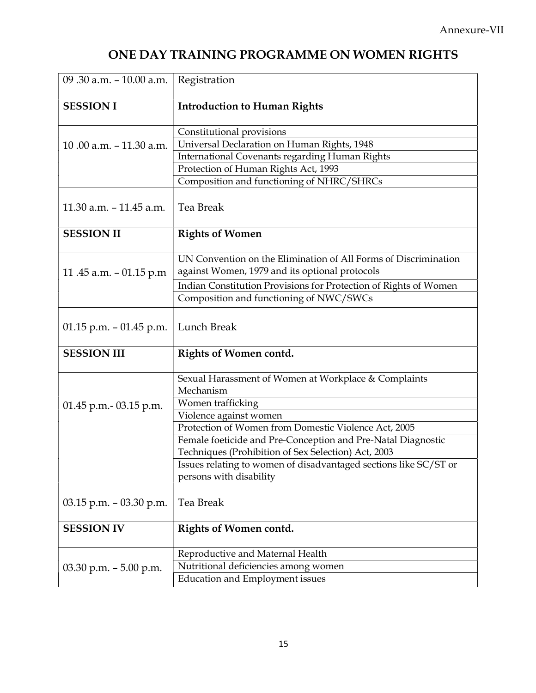# ONE DAY TRAINING PROGRAMME ON WOMEN RIGHTS

| 09.30 a.m. - 10.00 a.m.    | Registration                                                      |
|----------------------------|-------------------------------------------------------------------|
| <b>SESSION I</b>           | <b>Introduction to Human Rights</b>                               |
|                            | Constitutional provisions                                         |
| 10.00 a.m. $-11.30$ a.m.   | Universal Declaration on Human Rights, 1948                       |
|                            | International Covenants regarding Human Rights                    |
|                            | Protection of Human Rights Act, 1993                              |
|                            | Composition and functioning of NHRC/SHRCs                         |
| $11.30$ a.m. $-11.45$ a.m. | Tea Break                                                         |
| <b>SESSION II</b>          | <b>Rights of Women</b>                                            |
|                            | UN Convention on the Elimination of All Forms of Discrimination   |
| 11.45 a.m. $-$ 01.15 p.m   | against Women, 1979 and its optional protocols                    |
|                            | Indian Constitution Provisions for Protection of Rights of Women  |
|                            | Composition and functioning of NWC/SWCs                           |
| 01.15 p.m. $-$ 01.45 p.m.  | Lunch Break                                                       |
| <b>SESSION III</b>         | <b>Rights of Women contd.</b>                                     |
|                            | Sexual Harassment of Women at Workplace & Complaints<br>Mechanism |
| $01.45$ p.m. - 03.15 p.m.  | Women trafficking                                                 |
|                            | Violence against women                                            |
|                            | Protection of Women from Domestic Violence Act, 2005              |
|                            | Female foeticide and Pre-Conception and Pre-Natal Diagnostic      |
|                            | Techniques (Prohibition of Sex Selection) Act, 2003               |
|                            | Issues relating to women of disadvantaged sections like SC/ST or  |
|                            | persons with disability                                           |
| $03.15$ p.m. $-03.30$ p.m. | Tea Break                                                         |
| <b>SESSION IV</b>          | <b>Rights of Women contd.</b>                                     |
|                            | Reproductive and Maternal Health                                  |
| 03.30 p.m. $-5.00$ p.m.    | Nutritional deficiencies among women                              |
|                            | <b>Education and Employment issues</b>                            |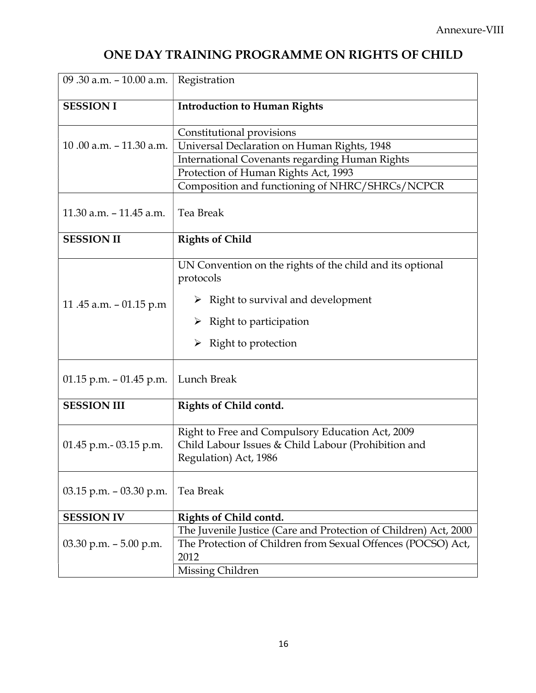# ONE DAY TRAINING PROGRAMME ON RIGHTS OF CHILD

| 09.30 a.m. - 10.00 a.m.    | Registration                                                                                                                                                 |
|----------------------------|--------------------------------------------------------------------------------------------------------------------------------------------------------------|
| <b>SESSION I</b>           | <b>Introduction to Human Rights</b>                                                                                                                          |
|                            | Constitutional provisions                                                                                                                                    |
| 10.00 a.m. $-11.30$ a.m.   | Universal Declaration on Human Rights, 1948                                                                                                                  |
|                            | <b>International Covenants regarding Human Rights</b>                                                                                                        |
|                            | Protection of Human Rights Act, 1993                                                                                                                         |
|                            | Composition and functioning of NHRC/SHRCs/NCPCR                                                                                                              |
| 11.30 a.m. - 11.45 a.m.    | Tea Break                                                                                                                                                    |
| <b>SESSION II</b>          | <b>Rights of Child</b>                                                                                                                                       |
|                            | UN Convention on the rights of the child and its optional<br>protocols                                                                                       |
| 11.45 a.m. $-$ 01.15 p.m   | $\triangleright$ Right to survival and development                                                                                                           |
|                            | $\triangleright$ Right to participation                                                                                                                      |
|                            | $\triangleright$ Right to protection                                                                                                                         |
| $01.15$ p.m. $-01.45$ p.m. | Lunch Break                                                                                                                                                  |
| <b>SESSION III</b>         | Rights of Child contd.                                                                                                                                       |
| $01.45$ p.m. $-03.15$ p.m. | Right to Free and Compulsory Education Act, 2009<br>Child Labour Issues & Child Labour (Prohibition and<br>Regulation) Act, 1986                             |
| $03.15$ p.m. $-03.30$ p.m. | Tea Break                                                                                                                                                    |
| <b>SESSION IV</b>          | Rights of Child contd.                                                                                                                                       |
| $03.30$ p.m. $-5.00$ p.m.  | The Juvenile Justice (Care and Protection of Children) Act, 2000<br>The Protection of Children from Sexual Offences (POCSO) Act,<br>2012<br>Missing Children |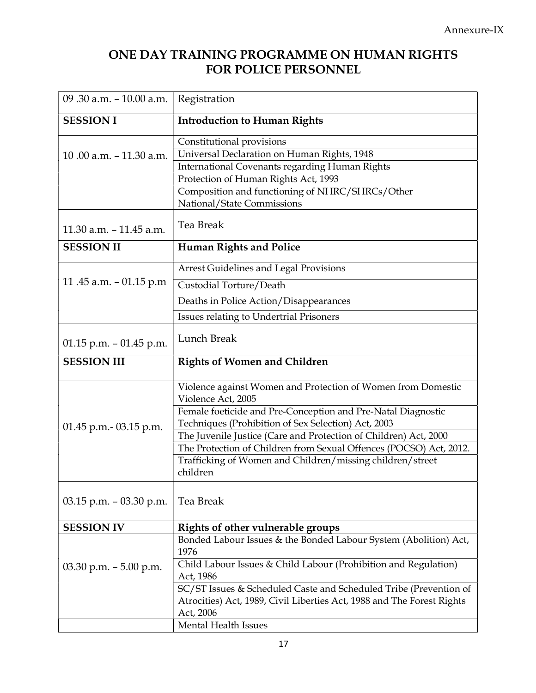## ONE DAY TRAINING PROGRAMME ON HUMAN RIGHTS FOR POLICE PERSONNEL

| 09.30 a.m. - 10.00 a.m.    | Registration                                                                                                                                |
|----------------------------|---------------------------------------------------------------------------------------------------------------------------------------------|
| <b>SESSION I</b>           | <b>Introduction to Human Rights</b>                                                                                                         |
|                            | Constitutional provisions                                                                                                                   |
| 10.00 a.m. $-11.30$ a.m.   | Universal Declaration on Human Rights, 1948                                                                                                 |
|                            | <b>International Covenants regarding Human Rights</b>                                                                                       |
|                            | Protection of Human Rights Act, 1993                                                                                                        |
|                            | Composition and functioning of NHRC/SHRCs/Other                                                                                             |
|                            | National/State Commissions                                                                                                                  |
| 11.30 a.m. - 11.45 a.m.    | Tea Break                                                                                                                                   |
| <b>SESSION II</b>          | <b>Human Rights and Police</b>                                                                                                              |
|                            | Arrest Guidelines and Legal Provisions                                                                                                      |
| 11.45 a.m. $-$ 01.15 p.m   | Custodial Torture/Death                                                                                                                     |
|                            | Deaths in Police Action/Disappearances                                                                                                      |
|                            | Issues relating to Undertrial Prisoners                                                                                                     |
| 01.15 p.m. $-$ 01.45 p.m.  | Lunch Break                                                                                                                                 |
| <b>SESSION III</b>         | <b>Rights of Women and Children</b>                                                                                                         |
|                            | Violence against Women and Protection of Women from Domestic<br>Violence Act, 2005                                                          |
|                            | Female foeticide and Pre-Conception and Pre-Natal Diagnostic<br>Techniques (Prohibition of Sex Selection) Act, 2003                         |
| 01.45 p.m. - 03.15 p.m.    | The Juvenile Justice (Care and Protection of Children) Act, 2000                                                                            |
|                            | The Protection of Children from Sexual Offences (POCSO) Act, 2012.                                                                          |
|                            | Trafficking of Women and Children/missing children/street                                                                                   |
|                            | children                                                                                                                                    |
| $03.15$ p.m. $-03.30$ p.m. | Tea Break                                                                                                                                   |
| <b>SESSION IV</b>          | Rights of other vulnerable groups                                                                                                           |
|                            | Bonded Labour Issues & the Bonded Labour System (Abolition) Act,<br>1976                                                                    |
| 03.30 p.m. $-5.00$ p.m.    | Child Labour Issues & Child Labour (Prohibition and Regulation)<br>Act, 1986                                                                |
|                            | SC/ST Issues & Scheduled Caste and Scheduled Tribe (Prevention of<br>Atrocities) Act, 1989, Civil Liberties Act, 1988 and The Forest Rights |
|                            | Act, 2006                                                                                                                                   |
|                            | Mental Health Issues                                                                                                                        |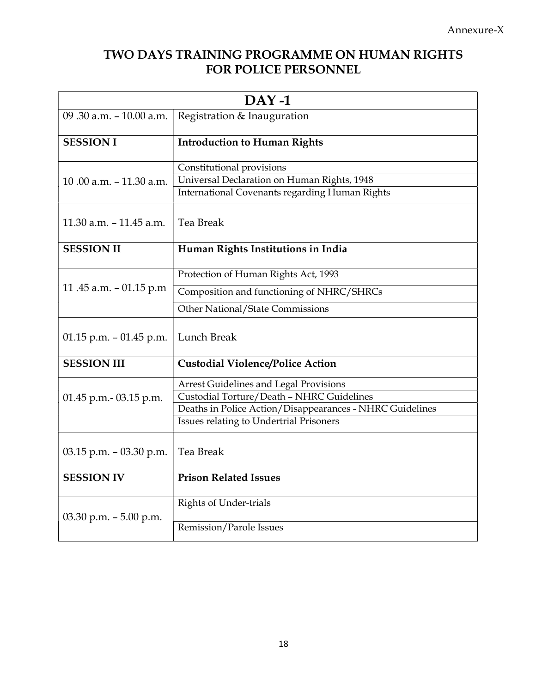## TWO DAYS TRAINING PROGRAMME ON HUMAN RIGHTS FOR POLICE PERSONNEL

| $DAY-1$                                                |                                                                                                                            |  |
|--------------------------------------------------------|----------------------------------------------------------------------------------------------------------------------------|--|
| Registration & Inauguration<br>09.30 a.m. - 10.00 a.m. |                                                                                                                            |  |
| <b>SESSION I</b>                                       | <b>Introduction to Human Rights</b>                                                                                        |  |
| 10.00 a.m. $-11.30$ a.m.                               | Constitutional provisions<br>Universal Declaration on Human Rights, 1948<br>International Covenants regarding Human Rights |  |
| $11.30$ a.m. $-11.45$ a.m.                             | <b>Tea Break</b>                                                                                                           |  |
| <b>SESSION II</b>                                      | Human Rights Institutions in India                                                                                         |  |
|                                                        | Protection of Human Rights Act, 1993                                                                                       |  |
| 11.45 a.m. $-$ 01.15 p.m                               | Composition and functioning of NHRC/SHRCs                                                                                  |  |
|                                                        | Other National/State Commissions                                                                                           |  |
| 01.15 p.m. $-$ 01.45 p.m.                              | Lunch Break                                                                                                                |  |
| <b>SESSION III</b>                                     | <b>Custodial Violence/Police Action</b>                                                                                    |  |
|                                                        | Arrest Guidelines and Legal Provisions                                                                                     |  |
| $01.45$ p.m. $-03.15$ p.m.                             | Custodial Torture/Death - NHRC Guidelines                                                                                  |  |
|                                                        | Deaths in Police Action/Disappearances - NHRC Guidelines<br>Issues relating to Undertrial Prisoners                        |  |
|                                                        |                                                                                                                            |  |
| $03.15$ p.m. $-03.30$ p.m.                             | Tea Break                                                                                                                  |  |
| <b>SESSION IV</b>                                      | <b>Prison Related Issues</b>                                                                                               |  |
|                                                        | <b>Rights of Under-trials</b>                                                                                              |  |
| $03.30$ p.m. $-5.00$ p.m.                              | Remission/Parole Issues                                                                                                    |  |